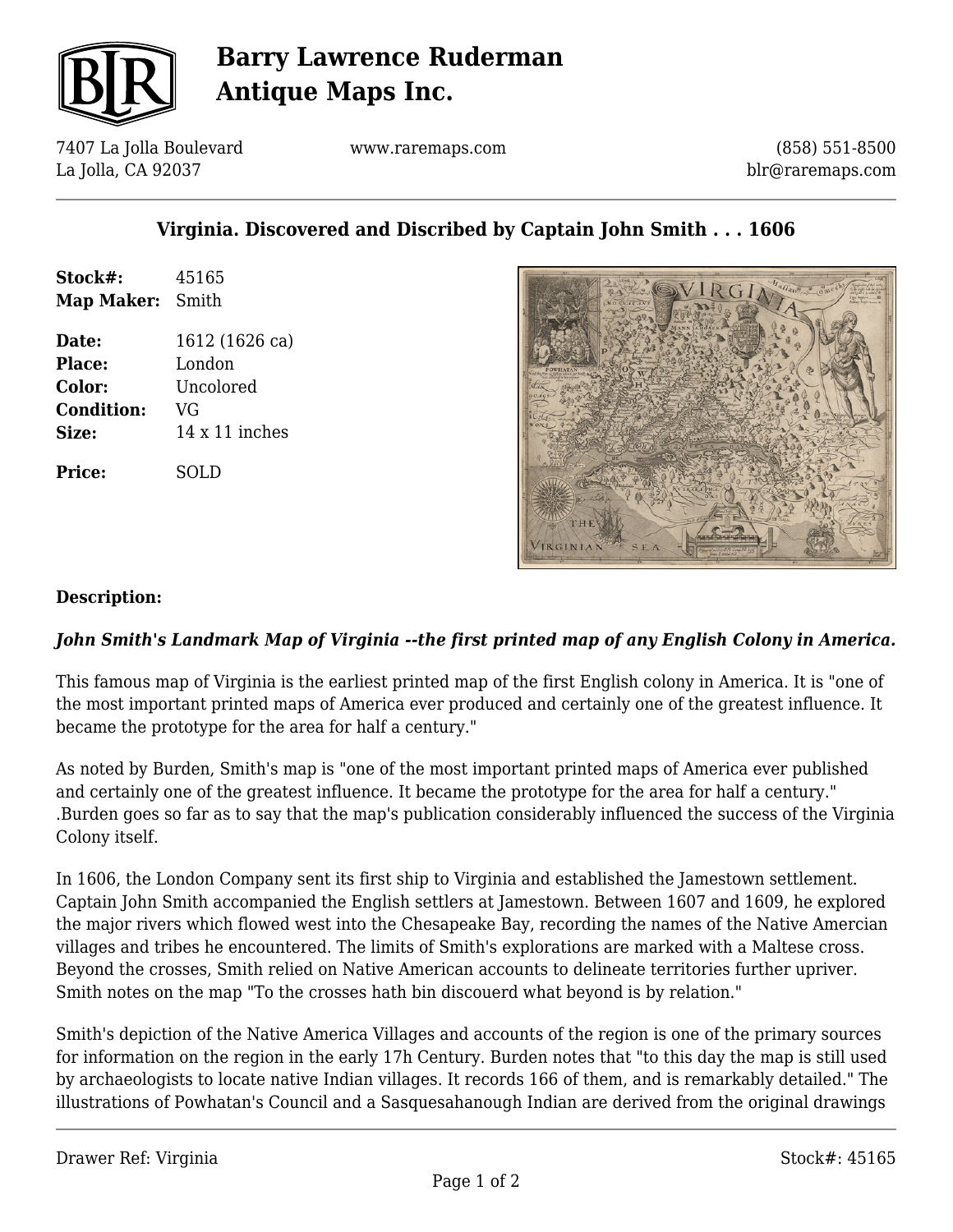

# **Barry Lawrence Ruderman Antique Maps Inc.**

7407 La Jolla Boulevard La Jolla, CA 92037

www.raremaps.com

(858) 551-8500 blr@raremaps.com

## **Virginia. Discovered and Discribed by Captain John Smith . . . 1606**

| Stock#:<br>Map Maker: | 45165<br>Smith        |
|-----------------------|-----------------------|
|                       |                       |
| Place:                | London                |
| <b>Color:</b>         | Uncolored             |
| <b>Condition:</b>     | VG                    |
| <b>Size:</b>          | $14 \times 11$ inches |
| <b>Price:</b>         | SOLD                  |



### **Description:**

### *John Smith's Landmark Map of Virginia --the first printed map of any English Colony in America.*

This famous map of Virginia is the earliest printed map of the first English colony in America. It is "one of the most important printed maps of America ever produced and certainly one of the greatest influence. It became the prototype for the area for half a century."

As noted by Burden, Smith's map is "one of the most important printed maps of America ever published and certainly one of the greatest influence. It became the prototype for the area for half a century." .Burden goes so far as to say that the map's publication considerably influenced the success of the Virginia Colony itself.

In 1606, the London Company sent its first ship to Virginia and established the Jamestown settlement. Captain John Smith accompanied the English settlers at Jamestown. Between 1607 and 1609, he explored the major rivers which flowed west into the Chesapeake Bay, recording the names of the Native Amercian villages and tribes he encountered. The limits of Smith's explorations are marked with a Maltese cross. Beyond the crosses, Smith relied on Native American accounts to delineate territories further upriver. Smith notes on the map "To the crosses hath bin discouerd what beyond is by relation."

Smith's depiction of the Native America Villages and accounts of the region is one of the primary sources for information on the region in the early 17h Century. Burden notes that "to this day the map is still used by archaeologists to locate native Indian villages. It records 166 of them, and is remarkably detailed." The illustrations of Powhatan's Council and a Sasquesahanough Indian are derived from the original drawings